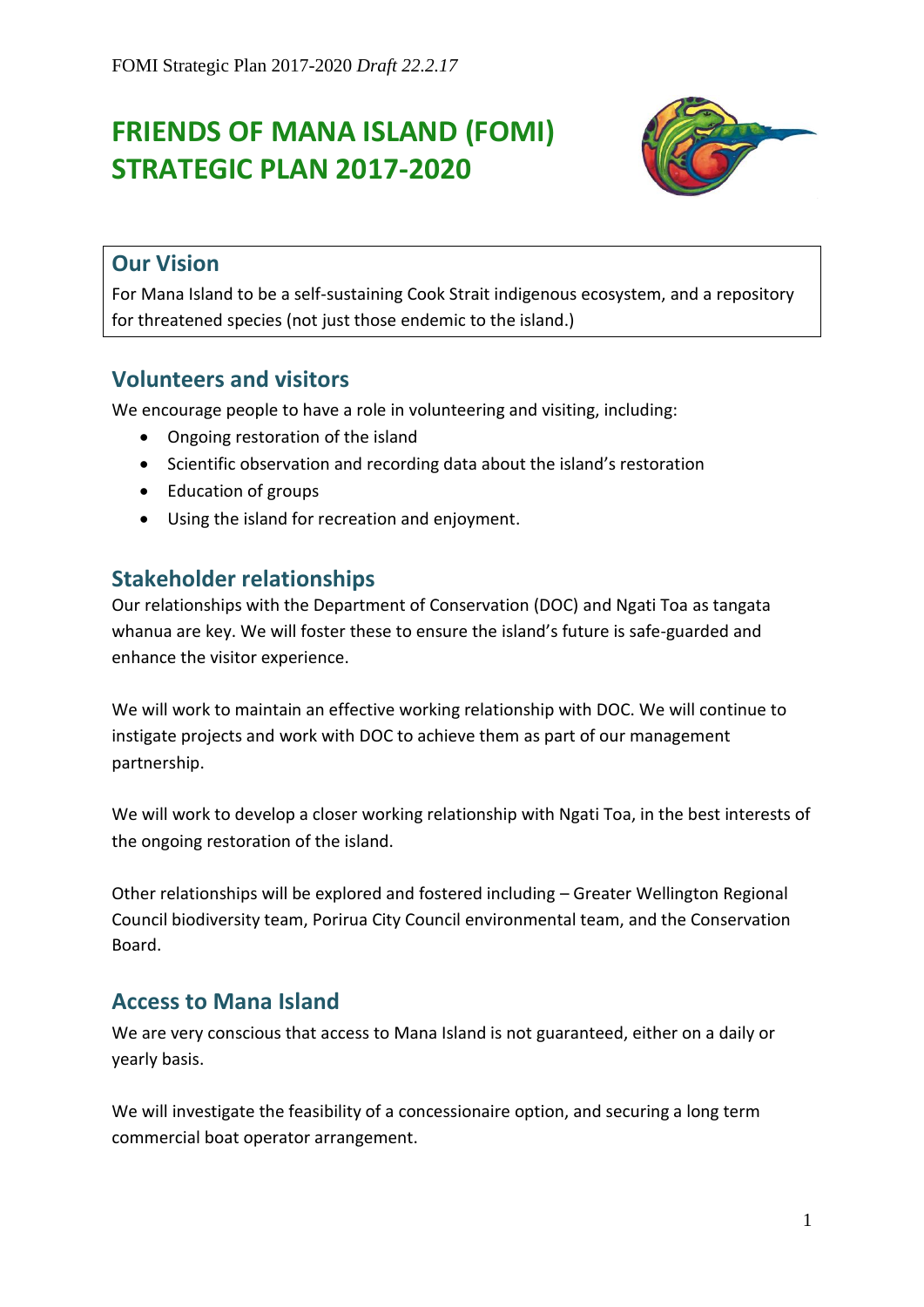# **FRIENDS OF MANA ISLAND (FOMI) STRATEGIC PLAN 2017-2020**



# **Our Vision**

For Mana Island to be a self-sustaining Cook Strait indigenous ecosystem, and a repository for threatened species (not just those endemic to the island.)

# **Volunteers and visitors**

We encourage people to have a role in volunteering and visiting, including:

- Ongoing restoration of the island
- Scientific observation and recording data about the island's restoration
- Education of groups
- Using the island for recreation and enjoyment.

# **Stakeholder relationships**

Our relationships with the Department of Conservation (DOC) and Ngati Toa as tangata whanua are key. We will foster these to ensure the island's future is safe-guarded and enhance the visitor experience.

We will work to maintain an effective working relationship with DOC. We will continue to instigate projects and work with DOC to achieve them as part of our management partnership.

We will work to develop a closer working relationship with Ngati Toa, in the best interests of the ongoing restoration of the island.

Other relationships will be explored and fostered including – Greater Wellington Regional Council biodiversity team, Porirua City Council environmental team, and the Conservation Board.

### **Access to Mana Island**

We are very conscious that access to Mana Island is not guaranteed, either on a daily or yearly basis.

We will investigate the feasibility of a concessionaire option, and securing a long term commercial boat operator arrangement.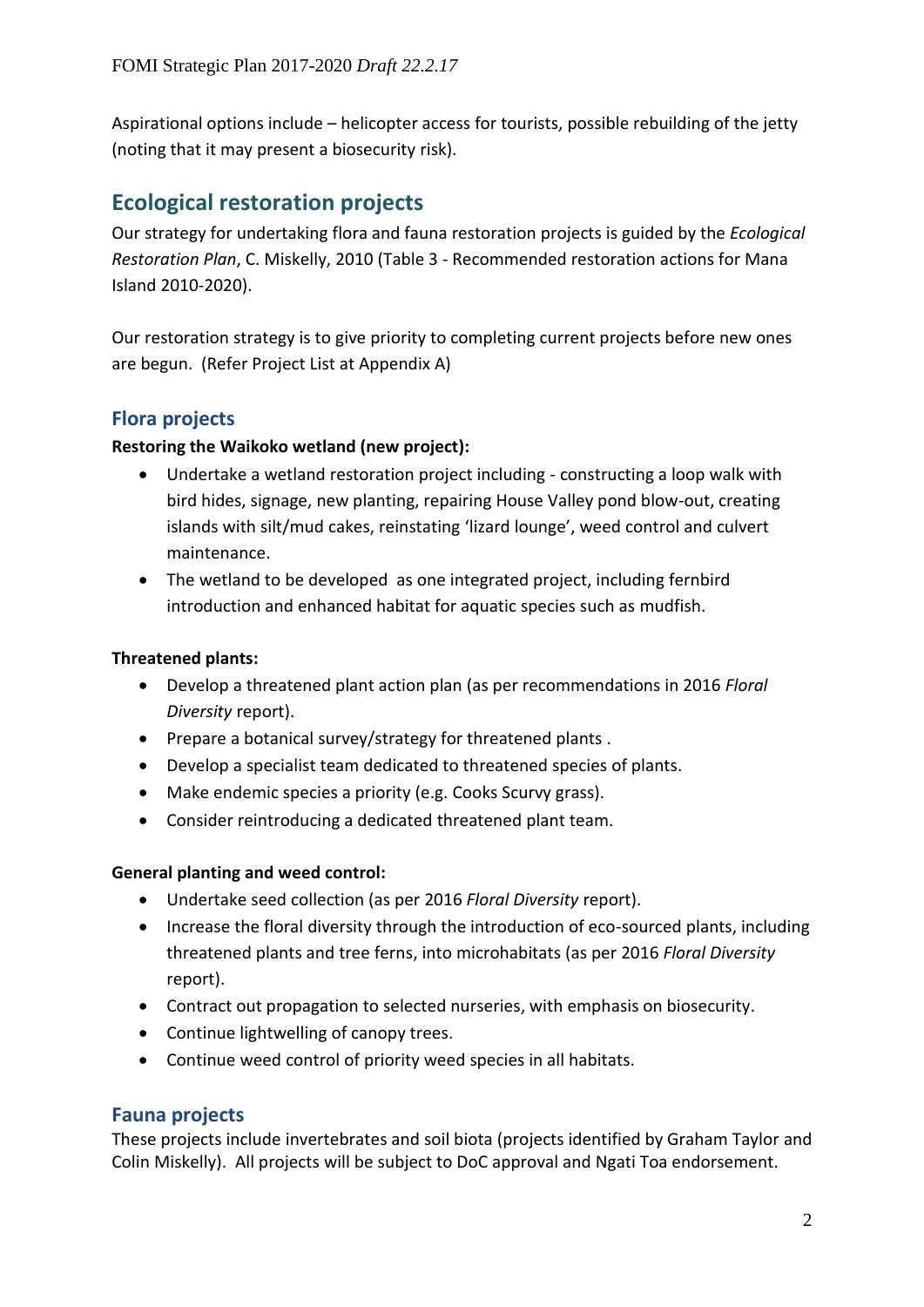Aspirational options include – helicopter access for tourists, possible rebuilding of the jetty (noting that it may present a biosecurity risk).

# **Ecological restoration projects**

Our strategy for undertaking flora and fauna restoration projects is guided by the *Ecological Restoration Plan*, C. Miskelly, 2010 (Table 3 - Recommended restoration actions for Mana Island 2010-2020).

Our restoration strategy is to give priority to completing current projects before new ones are begun. (Refer Project List at Appendix A)

### **Flora projects**

#### **Restoring the Waikoko wetland (new project):**

- Undertake a wetland restoration project including constructing a loop walk with bird hides, signage, new planting, repairing House Valley pond blow-out, creating islands with silt/mud cakes, reinstating 'lizard lounge', weed control and culvert maintenance.
- The wetland to be developed as one integrated project, including fernbird introduction and enhanced habitat for aquatic species such as mudfish.

#### **Threatened plants:**

- Develop a threatened plant action plan (as per recommendations in 2016 *Floral Diversity* report).
- Prepare a botanical survey/strategy for threatened plants.
- Develop a specialist team dedicated to threatened species of plants.
- Make endemic species a priority (e.g. Cooks Scurvy grass).
- Consider reintroducing a dedicated threatened plant team.

#### **General planting and weed control:**

- Undertake seed collection (as per 2016 *Floral Diversity* report).
- Increase the floral diversity through the introduction of eco-sourced plants, including threatened plants and tree ferns, into microhabitats (as per 2016 *Floral Diversity* report).
- Contract out propagation to selected nurseries, with emphasis on biosecurity.
- Continue lightwelling of canopy trees.
- Continue weed control of priority weed species in all habitats.

#### **Fauna projects**

These projects include invertebrates and soil biota (projects identified by Graham Taylor and Colin Miskelly). All projects will be subject to DoC approval and Ngati Toa endorsement.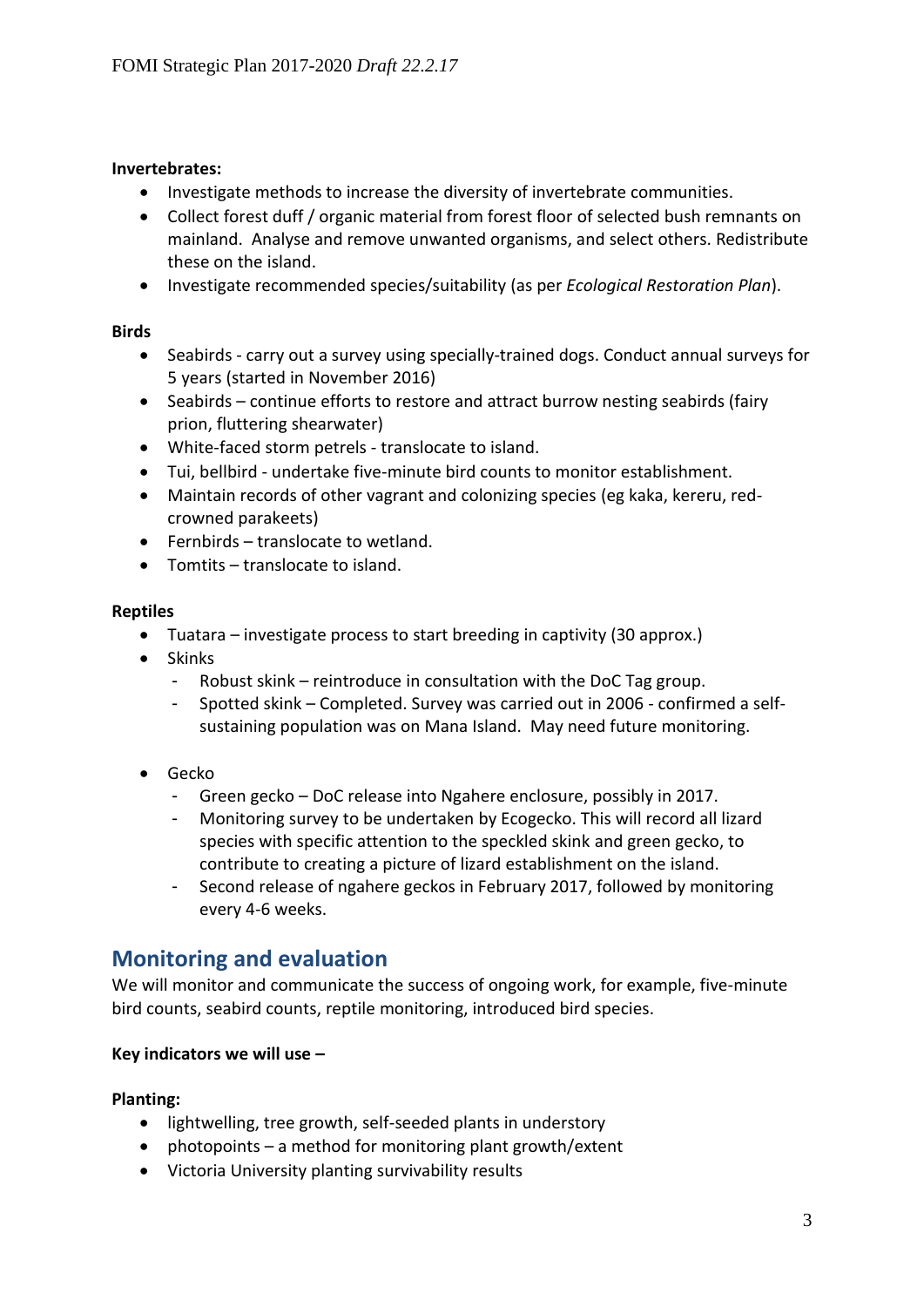#### **Invertebrates:**

- Investigate methods to increase the diversity of invertebrate communities.
- Collect forest duff / organic material from forest floor of selected bush remnants on mainland. Analyse and remove unwanted organisms, and select others. Redistribute these on the island.
- Investigate recommended species/suitability (as per *Ecological Restoration Plan*).

#### **Birds**

- Seabirds carry out a survey using specially-trained dogs. Conduct annual surveys for 5 years (started in November 2016)
- Seabirds continue efforts to restore and attract burrow nesting seabirds (fairy prion, fluttering shearwater)
- White-faced storm petrels translocate to island.
- Tui, bellbird undertake five-minute bird counts to monitor establishment.
- Maintain records of other vagrant and colonizing species (eg kaka, kereru, redcrowned parakeets)
- Fernbirds translocate to wetland.
- Tomtits translocate to island.

#### **Reptiles**

- Tuatara investigate process to start breeding in captivity (30 approx.)
- Skinks
	- Robust skink reintroduce in consultation with the DoC Tag group.
	- Spotted skink Completed. Survey was carried out in 2006 confirmed a selfsustaining population was on Mana Island. May need future monitoring.
- Gecko
	- Green gecko DoC release into Ngahere enclosure, possibly in 2017.
	- Monitoring survey to be undertaken by Ecogecko. This will record all lizard species with specific attention to the speckled skink and green gecko, to contribute to creating a picture of lizard establishment on the island.
	- Second release of ngahere geckos in February 2017, followed by monitoring every 4-6 weeks.

# **Monitoring and evaluation**

We will monitor and communicate the success of ongoing work, for example, five-minute bird counts, seabird counts, reptile monitoring, introduced bird species.

#### **Key indicators we will use –**

#### **Planting:**

- lightwelling, tree growth, self-seeded plants in understory
- photopoints a method for monitoring plant growth/extent
- Victoria University planting survivability results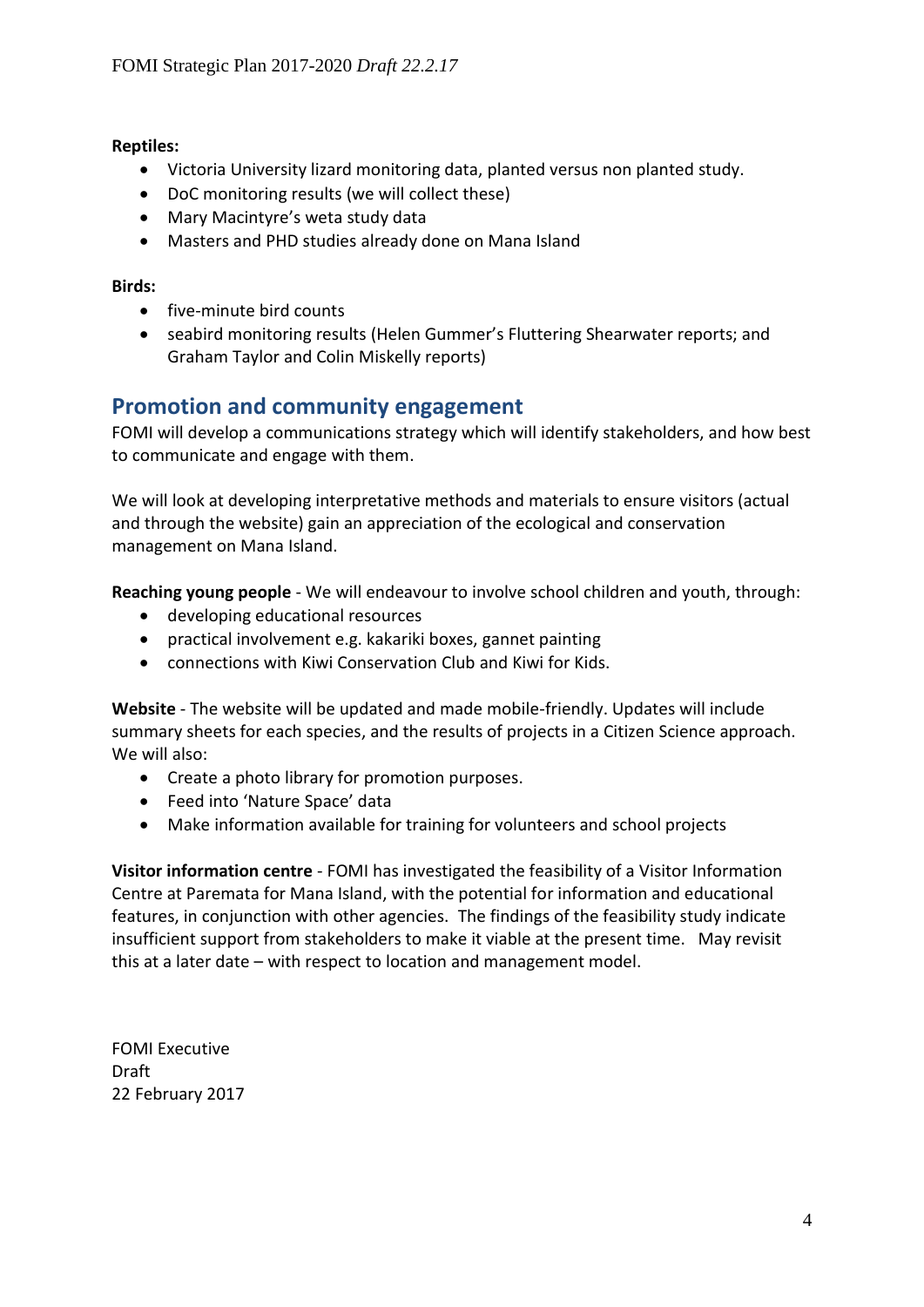#### **Reptiles:**

- Victoria University lizard monitoring data, planted versus non planted study.
- DoC monitoring results (we will collect these)
- Mary Macintyre's weta study data
- Masters and PHD studies already done on Mana Island

#### **Birds:**

- five-minute bird counts
- seabird monitoring results (Helen Gummer's Fluttering Shearwater reports; and Graham Taylor and Colin Miskelly reports)

# **Promotion and community engagement**

FOMI will develop a communications strategy which will identify stakeholders, and how best to communicate and engage with them.

We will look at developing interpretative methods and materials to ensure visitors (actual and through the website) gain an appreciation of the ecological and conservation management on Mana Island.

**Reaching young people** - We will endeavour to involve school children and youth, through:

- developing educational resources
- practical involvement e.g. kakariki boxes, gannet painting
- connections with Kiwi Conservation Club and Kiwi for Kids.

**Website** - The website will be updated and made mobile-friendly. Updates will include summary sheets for each species, and the results of projects in a Citizen Science approach. We will also:

- Create a photo library for promotion purposes.
- Feed into 'Nature Space' data
- Make information available for training for volunteers and school projects

**Visitor information centre** - FOMI has investigated the feasibility of a Visitor Information Centre at Paremata for Mana Island, with the potential for information and educational features, in conjunction with other agencies. The findings of the feasibility study indicate insufficient support from stakeholders to make it viable at the present time. May revisit this at a later date – with respect to location and management model.

FOMI Executive Draft 22 February 2017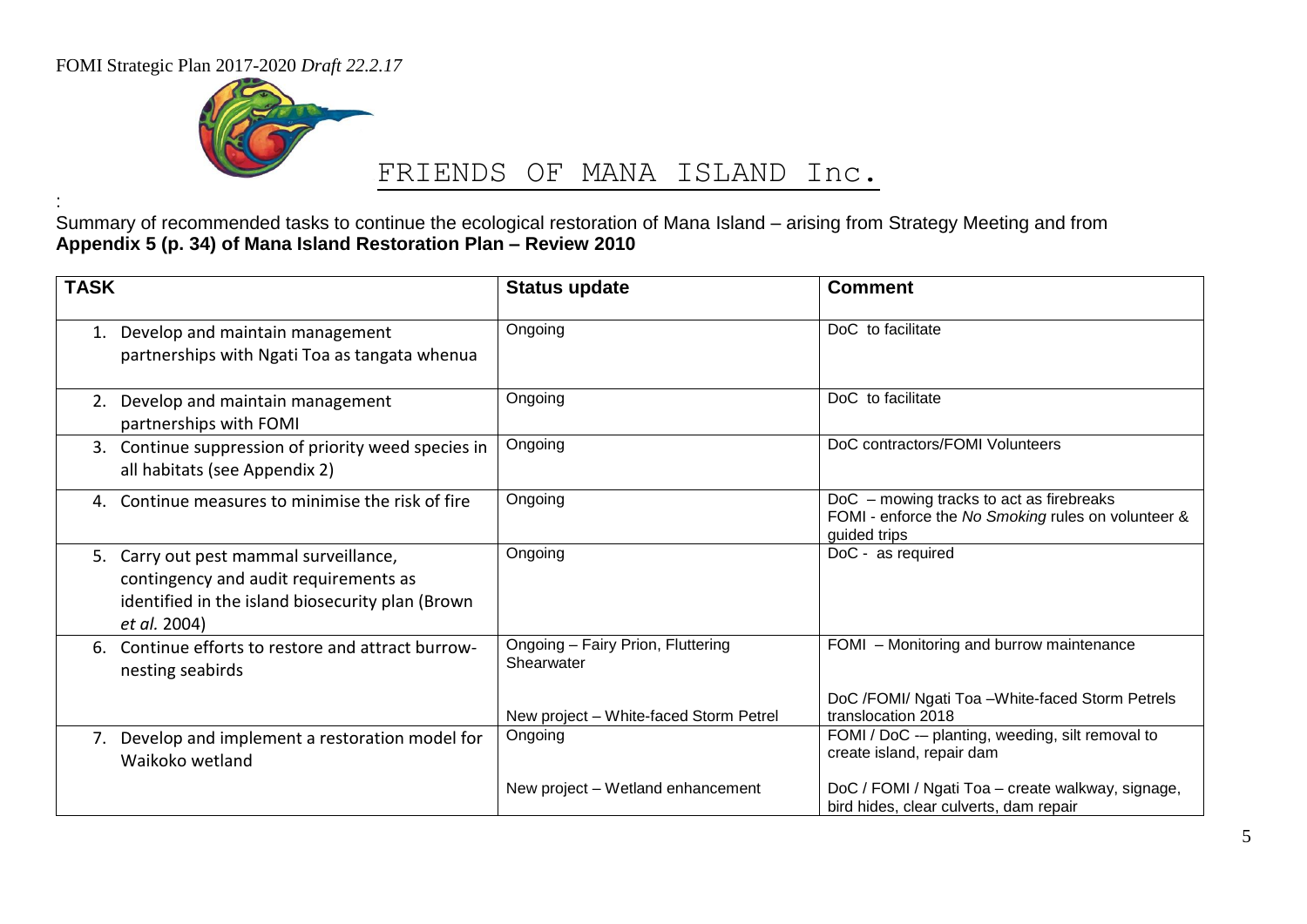FOMI Strategic Plan 2017-2020 *Draft 22.2.17*

:



# FRIENDS OF MANA ISLAND Inc.

Summary of recommended tasks to continue the ecological restoration of Mana Island – arising from Strategy Meeting and from **Appendix 5 (p. 34) of Mana Island Restoration Plan – Review 2010**

| <b>TASK</b>                                                                                                                                         | <b>Status update</b>                            | <b>Comment</b>                                                                                                 |
|-----------------------------------------------------------------------------------------------------------------------------------------------------|-------------------------------------------------|----------------------------------------------------------------------------------------------------------------|
| Develop and maintain management<br>partnerships with Ngati Toa as tangata whenua                                                                    | Ongoing                                         | DoC to facilitate                                                                                              |
| 2. Develop and maintain management<br>partnerships with FOMI                                                                                        | Ongoing                                         | DoC to facilitate                                                                                              |
| 3. Continue suppression of priority weed species in<br>all habitats (see Appendix 2)                                                                | Ongoing                                         | DoC contractors/FOMI Volunteers                                                                                |
| 4. Continue measures to minimise the risk of fire                                                                                                   | Ongoing                                         | DoC - mowing tracks to act as firebreaks<br>FOMI - enforce the No Smoking rules on volunteer &<br>guided trips |
| 5. Carry out pest mammal surveillance,<br>contingency and audit requirements as<br>identified in the island biosecurity plan (Brown<br>et al. 2004) | Ongoing                                         | DoC - as required                                                                                              |
| Continue efforts to restore and attract burrow-<br>nesting seabirds                                                                                 | Ongoing - Fairy Prion, Fluttering<br>Shearwater | FOMI - Monitoring and burrow maintenance                                                                       |
|                                                                                                                                                     | New project - White-faced Storm Petrel          | DoC /FOMI/ Ngati Toa - White-faced Storm Petrels<br>translocation 2018                                         |
| 7. Develop and implement a restoration model for<br>Waikoko wetland                                                                                 | Ongoing                                         | FOMI / DoC -- planting, weeding, silt removal to<br>create island, repair dam                                  |
|                                                                                                                                                     | New project – Wetland enhancement               | DoC / FOMI / Ngati Toa - create walkway, signage,<br>bird hides, clear culverts, dam repair                    |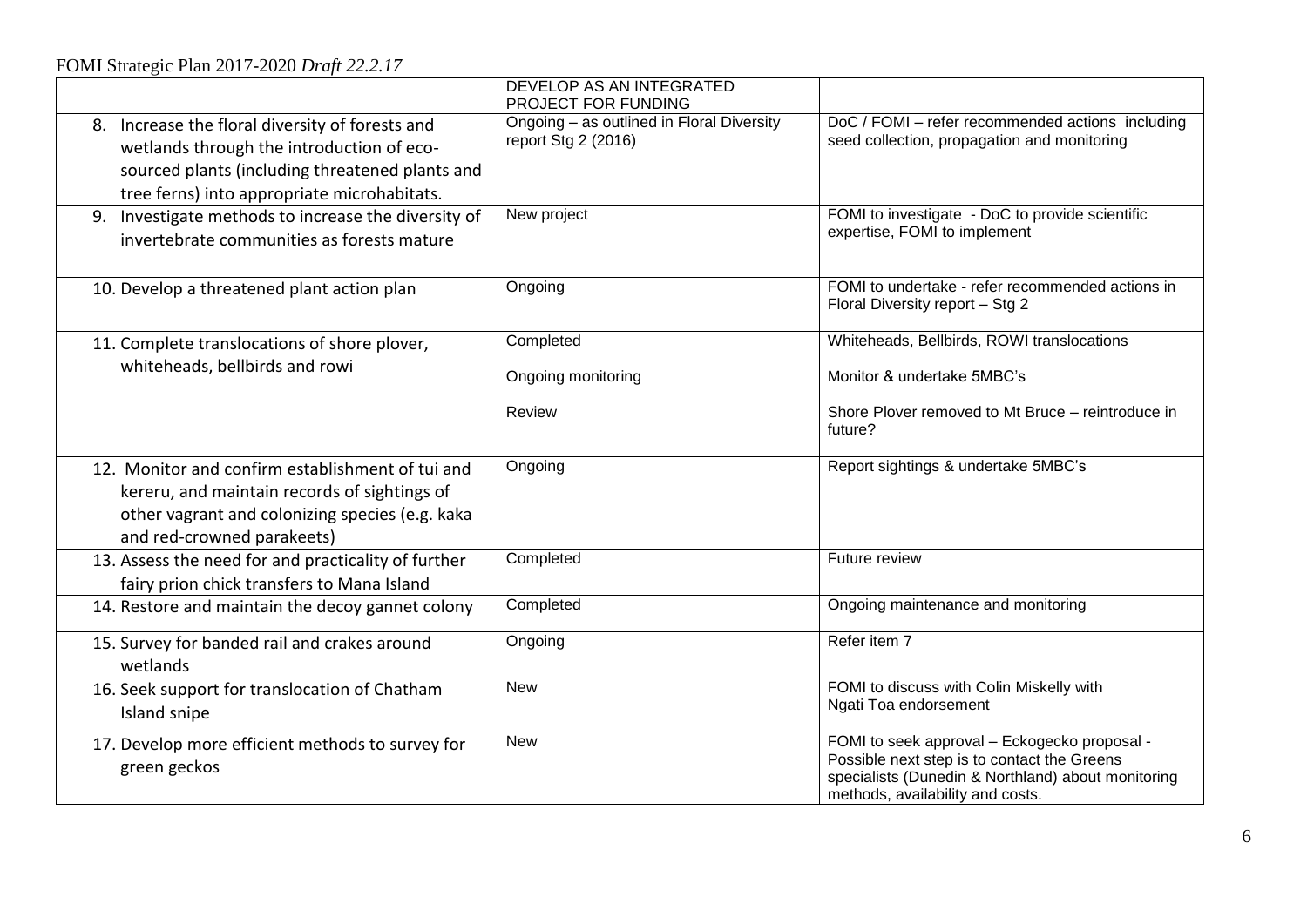# FOMI Strategic Plan 2017-2020 *Draft 22.2.17*

|                                                                                                                                                                                                | DEVELOP AS AN INTEGRATED<br>PROJECT FOR FUNDING                  |                                                                                                                                                                                       |
|------------------------------------------------------------------------------------------------------------------------------------------------------------------------------------------------|------------------------------------------------------------------|---------------------------------------------------------------------------------------------------------------------------------------------------------------------------------------|
| 8. Increase the floral diversity of forests and<br>wetlands through the introduction of eco-<br>sourced plants (including threatened plants and<br>tree ferns) into appropriate microhabitats. | Ongoing - as outlined in Floral Diversity<br>report Stg 2 (2016) | DoC / FOMI - refer recommended actions including<br>seed collection, propagation and monitoring                                                                                       |
| 9. Investigate methods to increase the diversity of<br>invertebrate communities as forests mature                                                                                              | New project                                                      | FOMI to investigate - DoC to provide scientific<br>expertise, FOMI to implement                                                                                                       |
| 10. Develop a threatened plant action plan                                                                                                                                                     | Ongoing                                                          | FOMI to undertake - refer recommended actions in<br>Floral Diversity report - Stg 2                                                                                                   |
| 11. Complete translocations of shore plover,                                                                                                                                                   | Completed                                                        | Whiteheads, Bellbirds, ROWI translocations                                                                                                                                            |
| whiteheads, bellbirds and rowi                                                                                                                                                                 | Ongoing monitoring                                               | Monitor & undertake 5MBC's                                                                                                                                                            |
|                                                                                                                                                                                                | Review                                                           | Shore Plover removed to Mt Bruce - reintroduce in<br>future?                                                                                                                          |
| 12. Monitor and confirm establishment of tui and<br>kereru, and maintain records of sightings of<br>other vagrant and colonizing species (e.g. kaka<br>and red-crowned parakeets)              | Ongoing                                                          | Report sightings & undertake 5MBC's                                                                                                                                                   |
| 13. Assess the need for and practicality of further<br>fairy prion chick transfers to Mana Island                                                                                              | Completed                                                        | Future review                                                                                                                                                                         |
| 14. Restore and maintain the decoy gannet colony                                                                                                                                               | Completed                                                        | Ongoing maintenance and monitoring                                                                                                                                                    |
| 15. Survey for banded rail and crakes around<br>wetlands                                                                                                                                       | Ongoing                                                          | Refer item 7                                                                                                                                                                          |
| 16. Seek support for translocation of Chatham<br>Island snipe                                                                                                                                  | <b>New</b>                                                       | FOMI to discuss with Colin Miskelly with<br>Ngati Toa endorsement                                                                                                                     |
| 17. Develop more efficient methods to survey for<br>green geckos                                                                                                                               | <b>New</b>                                                       | FOMI to seek approval - Eckogecko proposal -<br>Possible next step is to contact the Greens<br>specialists (Dunedin & Northland) about monitoring<br>methods, availability and costs. |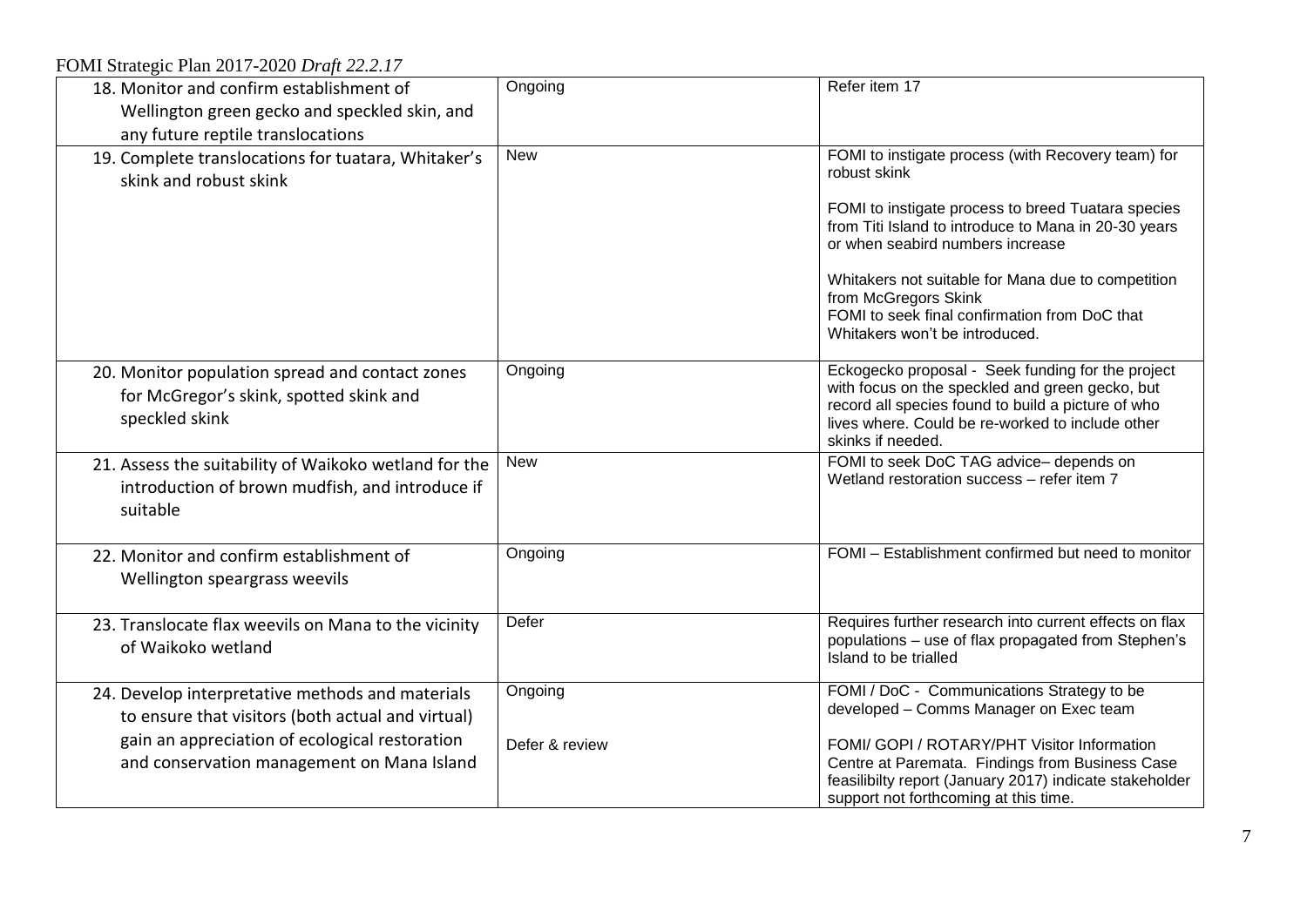FOMI Strategic Plan 2017-2020 *Draft 22.2.17*

| 18. Monitor and confirm establishment of<br>Wellington green gecko and speckled skin, and<br>any future reptile translocations                                                                        | Ongoing                   | Refer item 17                                                                                                                                                                                                                                                                                                                                                                         |
|-------------------------------------------------------------------------------------------------------------------------------------------------------------------------------------------------------|---------------------------|---------------------------------------------------------------------------------------------------------------------------------------------------------------------------------------------------------------------------------------------------------------------------------------------------------------------------------------------------------------------------------------|
| 19. Complete translocations for tuatara, Whitaker's<br>skink and robust skink                                                                                                                         | <b>New</b>                | FOMI to instigate process (with Recovery team) for<br>robust skink<br>FOMI to instigate process to breed Tuatara species<br>from Titi Island to introduce to Mana in 20-30 years<br>or when seabird numbers increase<br>Whitakers not suitable for Mana due to competition<br>from McGregors Skink<br>FOMI to seek final confirmation from DoC that<br>Whitakers won't be introduced. |
| 20. Monitor population spread and contact zones<br>for McGregor's skink, spotted skink and<br>speckled skink                                                                                          | Ongoing                   | Eckogecko proposal - Seek funding for the project<br>with focus on the speckled and green gecko, but<br>record all species found to build a picture of who<br>lives where. Could be re-worked to include other<br>skinks if needed.                                                                                                                                                   |
| 21. Assess the suitability of Waikoko wetland for the<br>introduction of brown mudfish, and introduce if<br>suitable                                                                                  | <b>New</b>                | FOMI to seek DoC TAG advice-depends on<br>Wetland restoration success - refer item 7                                                                                                                                                                                                                                                                                                  |
| 22. Monitor and confirm establishment of<br>Wellington speargrass weevils                                                                                                                             | Ongoing                   | FOMI - Establishment confirmed but need to monitor                                                                                                                                                                                                                                                                                                                                    |
| 23. Translocate flax weevils on Mana to the vicinity<br>of Waikoko wetland                                                                                                                            | Defer                     | Requires further research into current effects on flax<br>populations - use of flax propagated from Stephen's<br>Island to be trialled                                                                                                                                                                                                                                                |
| 24. Develop interpretative methods and materials<br>to ensure that visitors (both actual and virtual)<br>gain an appreciation of ecological restoration<br>and conservation management on Mana Island | Ongoing<br>Defer & review | FOMI / DoC - Communications Strategy to be<br>developed - Comms Manager on Exec team<br>FOMI/ GOPI / ROTARY/PHT Visitor Information<br>Centre at Paremata. Findings from Business Case<br>feasilibilty report (January 2017) indicate stakeholder<br>support not forthcoming at this time.                                                                                            |